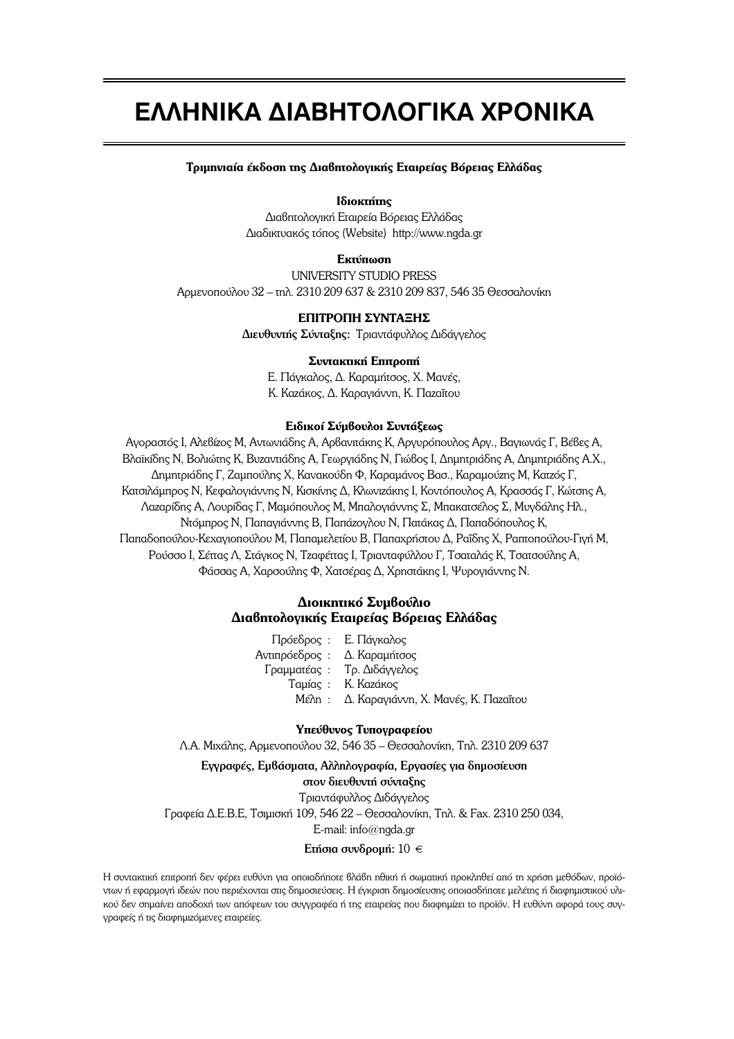# **EAAHNIKA AIABHTOAOFIKA XPONIKA**

# Tριμηνιαία έκδοση της Διαβητολογικής Εταιρείας Βόρειας Ελλάδας

# **Ιδιοκτήτης**

Διαβητολογική Εταιρεία Βόρειας Ελλάδας  $Δ$ ιαδικτυακός τόπος (Website) http://www.ngda.gr

## **Eκτύπωση**

UNIVERSITY STUDIO PRESS Aρμενοπούλου 32 – τηλ. 2310 209 637 & 2310 209 837, 546 35 Θεσσαλονίκη

# **ΕΠΙΤΡΟΠΗ ΣΥΝΤΑΞΗΣ**

Διευθυντής Σύνταξης: Τριαντάφυλλος Διδάγγελος

## Συντακτική Επιτροπή

Ε. Πάγκαλος, Δ. Καραμήτσος, Χ. Μανές, K. Kazáκoς, Δ. Kapaγιάννn, K. Παzaΐτου

# **Ειδικοί Σύμβουλοι Συντάξεως**

Aγοραστός I, Aλεβίzoς M, Aντωνιάδης A, Aρβανιτάκης K, Aργυρόπουλος Aργ., Bαγιωνάς Γ, Βέβες A, Bλαϊκίδης N, Boλιώτης K, Bυzαντιάδης A, Γεωργιάδης N, Γιώβος I, Δημητριάδης A, Δημητριάδης A.X., Δημητριάδης Γ, Ζαμπούλης Χ, Κανακούδη Φ, Καραμάνος Βασ., Καραμούzης Μ, Κατzός Γ, Kατσιλάμπρος N, Kεφαλογιάννης N, Kισκίνης Δ, Kλωνιzάκης I, Kοντόπουλος A, Kρασσάς Γ, Kώτσης A, Λαzαρίδης Α, Λουρίδας Γ, Μαμόπουλος Μ, Μπαλογιάννης Σ, Μπακατσέλος Σ, Μυγδάλης Ηλ., Ντόμπρος Ν, Παπαγιάννης Β, Παπάzογλου Ν, Πατάκας Δ, Παπαδόπουλος Κ, Παπαδοπούλου-Κεχαγιοπούλου Μ, Παπαμελετίου Β, Παπαχρήστου Δ, Ραΐδης Χ, Ραπτοπούλου-Γιγή Μ, Pούσσο I, Σέπας Λ, Στάγκος Ν, Τzαφέπας I, Τριανταφύλλου Γ, Τσαταλάς Κ, Τσατσούλης Α, Φάσσας Α, Χαρσούλης Φ, Χατσέρας Δ, Χρηστάκης Ι, Ψυρογιάννης Ν.

# **Διοικητικό Συμβούλιο**  $\Delta$ ιαβητολογικής Εταιρείας Βόρειας Ελλάδας

|                              | Πρόεδρος : Ε. Πάγκαλος                     |
|------------------------------|--------------------------------------------|
| Αντιπρόεδρος : Δ. Καραμήτσος |                                            |
|                              | Γραμματέας: Τρ. Διδάγγελος                 |
|                              | Ταμίας: Κ. Καεάκος                         |
|                              | Mέλη: Δ. Καραγιάννη, Χ. Μανές, Κ. Παzαΐτου |
|                              |                                            |

### Υπεύθυνος Τυπογραφείου

Λ.Α. Μιχάλης, Αρμενοπούλου 32, 546 35 – Θεσσαλονίκη, Τηλ. 2310 209 637

# Eγγραφές, Euβάσματα, Aλληλογραφία, Eργασίες για δημοσίευση

στον διευθυντή σύνταξης

Τριαντάφυλλος Διδάγγελος

Графеіа Д.Е.В.Е, Тоциоки 109, 546 22 – Өвооалоvікп, Тпл. & Fax. 2310 250 034,

E-mail: info@ngda.gr

# Eτήσια συνδρομή:  $10 \in$

Η συντακτική επιτροπή δεν φέρει ευθύνη για οποιαδήποτε βλάβη ηθική ή σωματική προκληθεί από τη χρήση μεθόδων, προϊόντων ή εφαρμονή ιδεών που περιέχονται στις δημοσιεύσεις. Η ένκριση δημοσίευσης οποιασδήποτε μελέτης ή διαφημιστικού υλικού δεν σημαίνει αποδοχή των απόψεων του συγγραφέα ή της εταιρείας που διαφημίzει το προϊόν. Η ευθύνη αφορά τους συγ γραφείς ή τις διαφημιzόμενες εταιρείες.